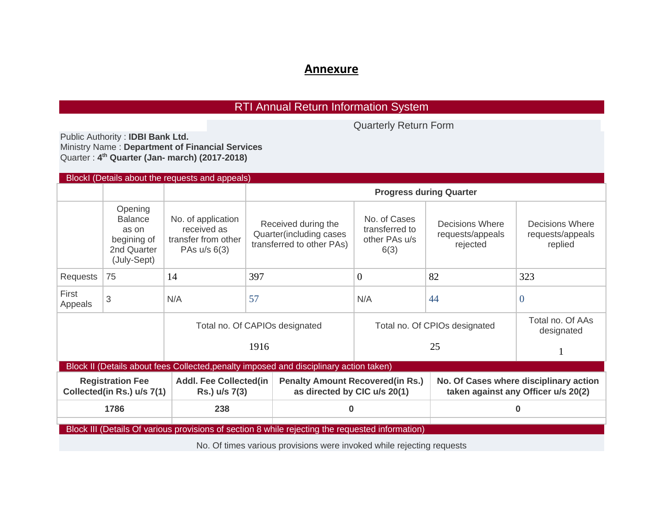## **Annexure**

## RTI Annual Return Information System

Quarterly Return Form

Public Authority : **IDBI Bank Ltd.**  Ministry Name : **Department of Financial Services**  Quarter : **4 th Quarter (Jan- march) (2017-2018)**

| Blockl (Details about the requests and appeals)                                                                                                                                                                                |                                                                                 |                                                                          |                                                                             |                                                                          |                                                 |                                                                               |  |  |  |  |
|--------------------------------------------------------------------------------------------------------------------------------------------------------------------------------------------------------------------------------|---------------------------------------------------------------------------------|--------------------------------------------------------------------------|-----------------------------------------------------------------------------|--------------------------------------------------------------------------|-------------------------------------------------|-------------------------------------------------------------------------------|--|--|--|--|
|                                                                                                                                                                                                                                |                                                                                 |                                                                          |                                                                             |                                                                          |                                                 |                                                                               |  |  |  |  |
|                                                                                                                                                                                                                                | Opening<br><b>Balance</b><br>as on<br>begining of<br>2nd Quarter<br>(July-Sept) | No. of application<br>received as<br>transfer from other<br>PAs u/s 6(3) | Received during the<br>Quarter(including cases<br>transferred to other PAs) | No. of Cases<br>transferred to<br>other PAs u/s<br>6(3)                  | Decisions Where<br>requests/appeals<br>rejected | Decisions Where<br>requests/appeals<br>replied                                |  |  |  |  |
| Requests                                                                                                                                                                                                                       | 75                                                                              | 14                                                                       | 397                                                                         | $\Omega$                                                                 | 82                                              | 323                                                                           |  |  |  |  |
| First<br>Appeals                                                                                                                                                                                                               | 3                                                                               | N/A                                                                      | 57                                                                          | N/A                                                                      | 44                                              | $\theta$                                                                      |  |  |  |  |
|                                                                                                                                                                                                                                |                                                                                 |                                                                          | Total no. Of CAPIOs designated                                              | Total no. Of CPIOs designated                                            | Total no. Of AAs<br>designated                  |                                                                               |  |  |  |  |
|                                                                                                                                                                                                                                |                                                                                 |                                                                          | 1916                                                                        |                                                                          |                                                 |                                                                               |  |  |  |  |
| Block II (Details about fees Collected, penalty imposed and disciplinary action taken)                                                                                                                                         |                                                                                 |                                                                          |                                                                             |                                                                          |                                                 |                                                                               |  |  |  |  |
| <b>Registration Fee</b><br>Collected(in Rs.) u/s 7(1)                                                                                                                                                                          |                                                                                 | <b>Addl. Fee Collected(in</b><br>Rs.) u/s 7(3)                           |                                                                             | <b>Penalty Amount Recovered (in Rs.)</b><br>as directed by CIC u/s 20(1) |                                                 | No. Of Cases where disciplinary action<br>taken against any Officer u/s 20(2) |  |  |  |  |
| 1786                                                                                                                                                                                                                           |                                                                                 | 238                                                                      |                                                                             | 0                                                                        |                                                 | 0                                                                             |  |  |  |  |
| Block III (Details Of various provisions of section 8 while rejecting the requested information)                                                                                                                               |                                                                                 |                                                                          |                                                                             |                                                                          |                                                 |                                                                               |  |  |  |  |
| The Contract of the contract of the contract of the contract of the contract of the contract of the contract of the contract of the contract of the contract of the contract of the contract of the contract of the contract o |                                                                                 |                                                                          |                                                                             |                                                                          |                                                 |                                                                               |  |  |  |  |

No. Of times various provisions were invoked while rejecting requests